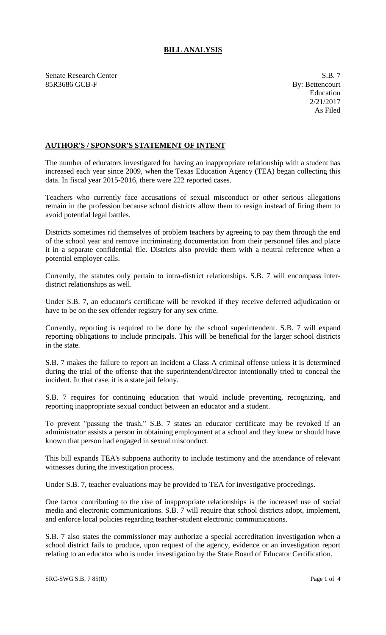## **BILL ANALYSIS**

Senate Research Center S.B. 7 85R3686 GCB-F By: Bettencourt

## **AUTHOR'S / SPONSOR'S STATEMENT OF INTENT**

The number of educators investigated for having an inappropriate relationship with a student has increased each year since 2009, when the Texas Education Agency (TEA) began collecting this data. In fiscal year 2015-2016, there were 222 reported cases.

Teachers who currently face accusations of sexual misconduct or other serious allegations remain in the profession because school districts allow them to resign instead of firing them to avoid potential legal battles.

Districts sometimes rid themselves of problem teachers by agreeing to pay them through the end of the school year and remove incriminating documentation from their personnel files and place it in a separate confidential file. Districts also provide them with a neutral reference when a potential employer calls.

Currently, the statutes only pertain to intra-district relationships. S.B. 7 will encompass interdistrict relationships as well.

Under S.B. 7, an educator's certificate will be revoked if they receive deferred adjudication or have to be on the sex offender registry for any sex crime.

Currently, reporting is required to be done by the school superintendent. S.B. 7 will expand reporting obligations to include principals. This will be beneficial for the larger school districts in the state.

S.B. 7 makes the failure to report an incident a Class A criminal offense unless it is determined during the trial of the offense that the superintendent/director intentionally tried to conceal the incident. In that case, it is a state jail felony.

S.B. 7 requires for continuing education that would include preventing, recognizing, and reporting inappropriate sexual conduct between an educator and a student.

To prevent "passing the trash," S.B. 7 states an educator certificate may be revoked if an administrator assists a person in obtaining employment at a school and they knew or should have known that person had engaged in sexual misconduct.

This bill expands TEA's subpoena authority to include testimony and the attendance of relevant witnesses during the investigation process.

Under S.B. 7, teacher evaluations may be provided to TEA for investigative proceedings.

One factor contributing to the rise of inappropriate relationships is the increased use of social media and electronic communications. S.B. 7 will require that school districts adopt, implement, and enforce local policies regarding teacher-student electronic communications.

S.B. 7 also states the commissioner may authorize a special accreditation investigation when a school district fails to produce, upon request of the agency, evidence or an investigation report relating to an educator who is under investigation by the State Board of Educator Certification.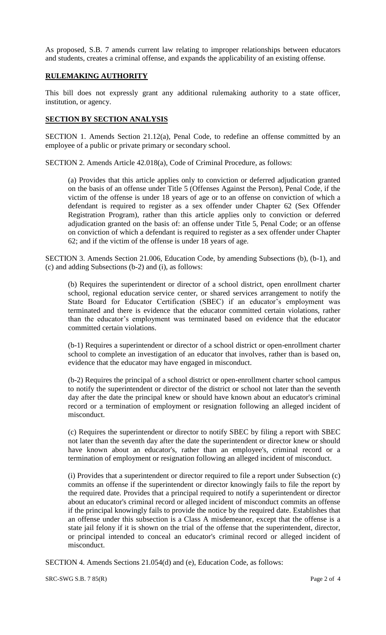As proposed, S.B. 7 amends current law relating to improper relationships between educators and students, creates a criminal offense, and expands the applicability of an existing offense.

## **RULEMAKING AUTHORITY**

This bill does not expressly grant any additional rulemaking authority to a state officer, institution, or agency.

## **SECTION BY SECTION ANALYSIS**

SECTION 1. Amends Section 21.12(a), Penal Code, to redefine an offense committed by an employee of a public or private primary or secondary school.

SECTION 2. Amends Article 42.018(a), Code of Criminal Procedure, as follows:

(a) Provides that this article applies only to conviction or deferred adjudication granted on the basis of an offense under Title 5 (Offenses Against the Person), Penal Code, if the victim of the offense is under 18 years of age or to an offense on conviction of which a defendant is required to register as a sex offender under Chapter 62 (Sex Offender Registration Program), rather than this article applies only to conviction or deferred adjudication granted on the basis of: an offense under Title 5, Penal Code; or an offense on conviction of which a defendant is required to register as a sex offender under Chapter 62; and if the victim of the offense is under 18 years of age.

SECTION 3. Amends Section 21.006, Education Code, by amending Subsections (b), (b-1), and (c) and adding Subsections (b-2) and (i), as follows:

(b) Requires the superintendent or director of a school district, open enrollment charter school, regional education service center, or shared services arrangement to notify the State Board for Educator Certification (SBEC) if an educator's employment was terminated and there is evidence that the educator committed certain violations, rather than the educator's employment was terminated based on evidence that the educator committed certain violations.

(b-1) Requires a superintendent or director of a school district or open-enrollment charter school to complete an investigation of an educator that involves, rather than is based on, evidence that the educator may have engaged in misconduct.

(b-2) Requires the principal of a school district or open-enrollment charter school campus to notify the superintendent or director of the district or school not later than the seventh day after the date the principal knew or should have known about an educator's criminal record or a termination of employment or resignation following an alleged incident of misconduct.

(c) Requires the superintendent or director to notify SBEC by filing a report with SBEC not later than the seventh day after the date the superintendent or director knew or should have known about an educator's, rather than an employee's, criminal record or a termination of employment or resignation following an alleged incident of misconduct.

(i) Provides that a superintendent or director required to file a report under Subsection (c) commits an offense if the superintendent or director knowingly fails to file the report by the required date. Provides that a principal required to notify a superintendent or director about an educator's criminal record or alleged incident of misconduct commits an offense if the principal knowingly fails to provide the notice by the required date. Establishes that an offense under this subsection is a Class A misdemeanor, except that the offense is a state jail felony if it is shown on the trial of the offense that the superintendent, director, or principal intended to conceal an educator's criminal record or alleged incident of misconduct.

SECTION 4. Amends Sections 21.054(d) and (e), Education Code, as follows:

SRC-SWG S.B. 7 85(R) Page 2 of 4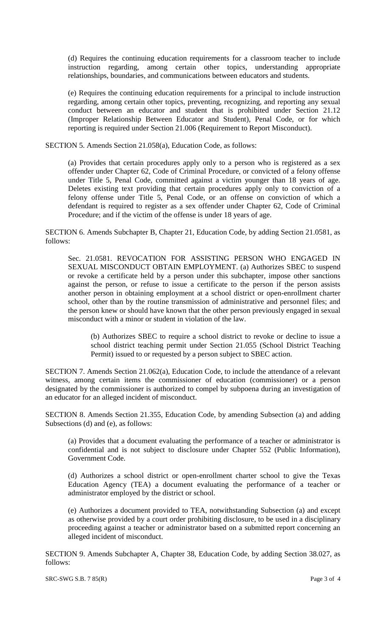(d) Requires the continuing education requirements for a classroom teacher to include instruction regarding, among certain other topics, understanding appropriate relationships, boundaries, and communications between educators and students.

(e) Requires the continuing education requirements for a principal to include instruction regarding, among certain other topics, preventing, recognizing, and reporting any sexual conduct between an educator and student that is prohibited under Section 21.12 (Improper Relationship Between Educator and Student), Penal Code, or for which reporting is required under Section 21.006 (Requirement to Report Misconduct).

SECTION 5. Amends Section 21.058(a), Education Code, as follows:

(a) Provides that certain procedures apply only to a person who is registered as a sex offender under Chapter 62, Code of Criminal Procedure, or convicted of a felony offense under Title 5, Penal Code, committed against a victim younger than 18 years of age. Deletes existing text providing that certain procedures apply only to conviction of a felony offense under Title 5, Penal Code, or an offense on conviction of which a defendant is required to register as a sex offender under Chapter 62, Code of Criminal Procedure; and if the victim of the offense is under 18 years of age.

SECTION 6. Amends Subchapter B, Chapter 21, Education Code, by adding Section 21.0581, as follows:

Sec. 21.0581. REVOCATION FOR ASSISTING PERSON WHO ENGAGED IN SEXUAL MISCONDUCT OBTAIN EMPLOYMENT. (a) Authorizes SBEC to suspend or revoke a certificate held by a person under this subchapter, impose other sanctions against the person, or refuse to issue a certificate to the person if the person assists another person in obtaining employment at a school district or open-enrollment charter school, other than by the routine transmission of administrative and personnel files; and the person knew or should have known that the other person previously engaged in sexual misconduct with a minor or student in violation of the law.

(b) Authorizes SBEC to require a school district to revoke or decline to issue a school district teaching permit under Section 21.055 (School District Teaching Permit) issued to or requested by a person subject to SBEC action.

SECTION 7. Amends Section 21.062(a), Education Code, to include the attendance of a relevant witness, among certain items the commissioner of education (commissioner) or a person designated by the commissioner is authorized to compel by subpoena during an investigation of an educator for an alleged incident of misconduct.

SECTION 8. Amends Section 21.355, Education Code, by amending Subsection (a) and adding Subsections (d) and (e), as follows:

(a) Provides that a document evaluating the performance of a teacher or administrator is confidential and is not subject to disclosure under Chapter 552 (Public Information), Government Code.

(d) Authorizes a school district or open-enrollment charter school to give the Texas Education Agency (TEA) a document evaluating the performance of a teacher or administrator employed by the district or school.

(e) Authorizes a document provided to TEA, notwithstanding Subsection (a) and except as otherwise provided by a court order prohibiting disclosure, to be used in a disciplinary proceeding against a teacher or administrator based on a submitted report concerning an alleged incident of misconduct.

SECTION 9. Amends Subchapter A, Chapter 38, Education Code, by adding Section 38.027, as follows:

 $SRC-SWG S.B. 7 85(R)$  Page 3 of 4